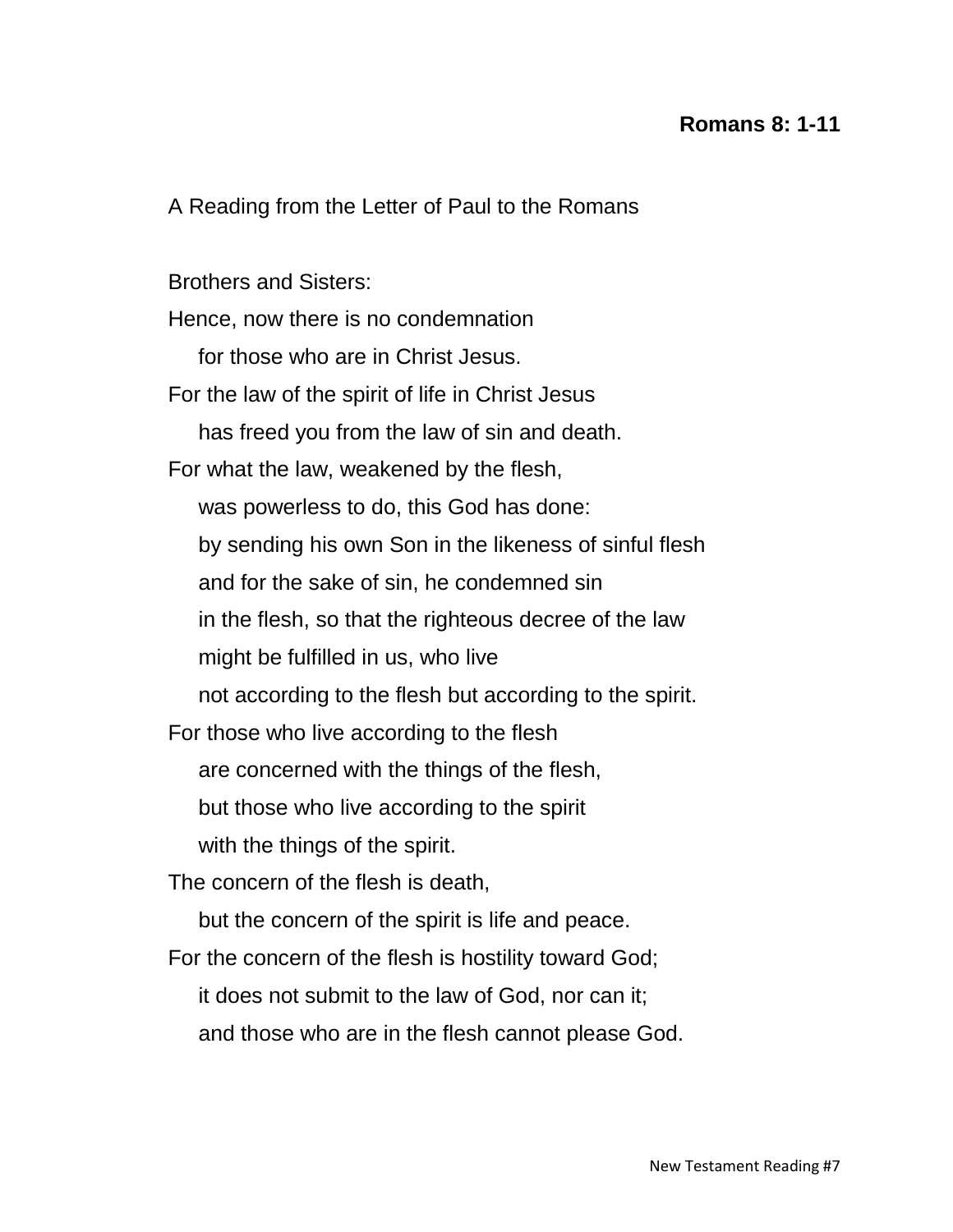## **Romans 8: 1-11**

A Reading from the Letter of Paul to the Romans

Brothers and Sisters:

Hence, now there is no condemnation for those who are in Christ Jesus. For the law of the spirit of life in Christ Jesus has freed you from the law of sin and death. For what the law, weakened by the flesh, was powerless to do, this God has done: by sending his own Son in the likeness of sinful flesh and for the sake of sin, he condemned sin in the flesh, so that the righteous decree of the law might be fulfilled in us, who live not according to the flesh but according to the spirit. For those who live according to the flesh are concerned with the things of the flesh, but those who live according to the spirit with the things of the spirit. The concern of the flesh is death, but the concern of the spirit is life and peace. For the concern of the flesh is hostility toward God; it does not submit to the law of God, nor can it; and those who are in the flesh cannot please God.